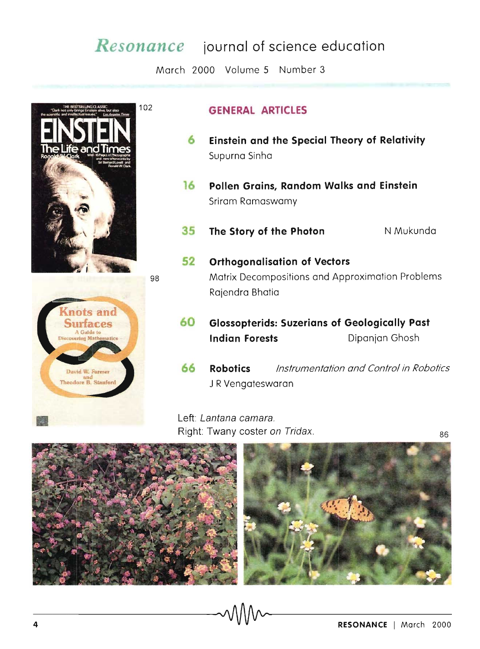## *Resonance* **journal of science education**

March 2000 Volume 5 Number 3





## 102 **GENERAL ARTICLES**

- **6 Einstein and the Special Theory of Relativity**  Supurna Sinha
- **16** Pollen Grains, Random Walks and Einstein Sriram Ramaswamy
- **35 The Story of the Photon** N Mukunda
- **52 Orthogonalisation of Vectors**  98 Matrix Decompositions and Approximation Problems Rajendra Bhatia
	- **60 Glossopterids: Suzerians of Geologically Past Indian Forests Dipanjan Ghosh**
	- **66 Robotics** Instrumentation and Control in Robotics J R Vengateswaran

Left: Lantana camara. Right: Twany coster on Tridax. <br>86